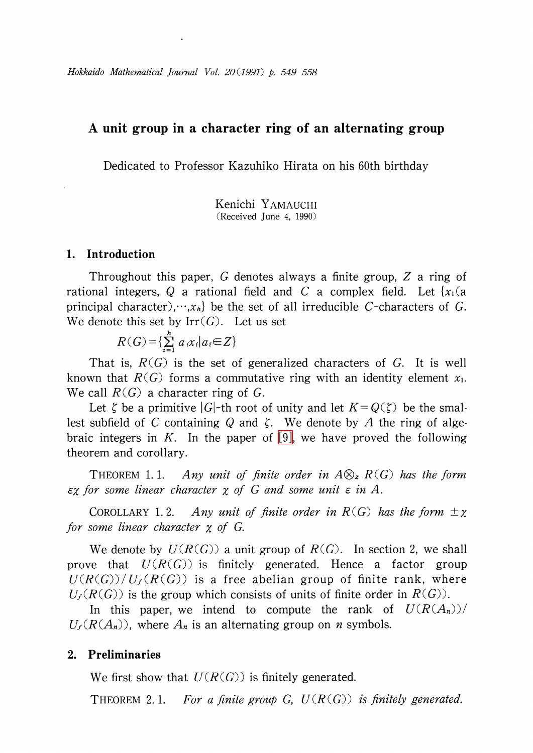# A unit group in a character ring of an alternating group

Dedicated to Professor Kazuhiko Hirata on his 60th birthday

Kenichi YAMAUCHI (Received June 4, 1990)

#### 1. Introduction

Throughout this paper, G denotes always a finite group, Z a ring of rational integers, Q a rational field and C a complex field. Let  ${x_1} (a)$ principal character),  $\langle x_{h} \rangle$  be the set of all irreducible C-characters of G. We denote this set by  $Irr(G)$ . Let us set

$$
R(G) = \{\sum_{i=1}^{h} a_i x_i | a_i \in Z\}
$$

That is,  $R(G)$  is the set of generalized characters of G. It is well known that  $R(G)$  forms a commutative ring with an identity element  $x_{1}$ . We call  $R(G)$  a character ring of G.

Let  $\zeta$  be a primitive  $|G|$ -th root of unity and let  $K=Q(\zeta)$  be the smallest subfield of C containing Q and  $\zeta$ . We denote by  $A$  the ring of alge-braic integers in K. In the paper of [\[9\],](#page-9-0) we have proved the following theorem and corollary.

THEOREM 1.1. Any unit of finite order in  $A\otimes_{z}R(G)$  has the form  $\epsilon\chi$  for some linear character  $\chi$  of G and some unit  $\epsilon$  in A.

<span id="page-0-0"></span>COROLLARY 1.2. Any unit of finite order in  $R(G)$  has the form  $\pm \chi$ for some linear character  $\chi$  of G.

We denote by  $U(R(G))$  a unit group of  $R(G)$ . In section 2, we shall prove that  $U(R(G))$  is finitely generated. Hence a factor group  $U(R(G))/U_{f}(R(G))$  is a free abelian group of finite rank, where  $U_{f}(R(G))$  is the group which consists of units of finite order in  $R(G)$ ).

In this paper, we intend to compute the rank of  $U(R(A_{n}))/$  $U_{f}(R(A_{n}))$ , where  $A_{n}$  is an alternating group on n symbols.

### 2. Preliminaries

We first show that  $U(R(G))$  is finitely generated.

<span id="page-0-1"></span>THEOREM 2.1. For a finite group G,  $U(R(G))$  is finitely generated.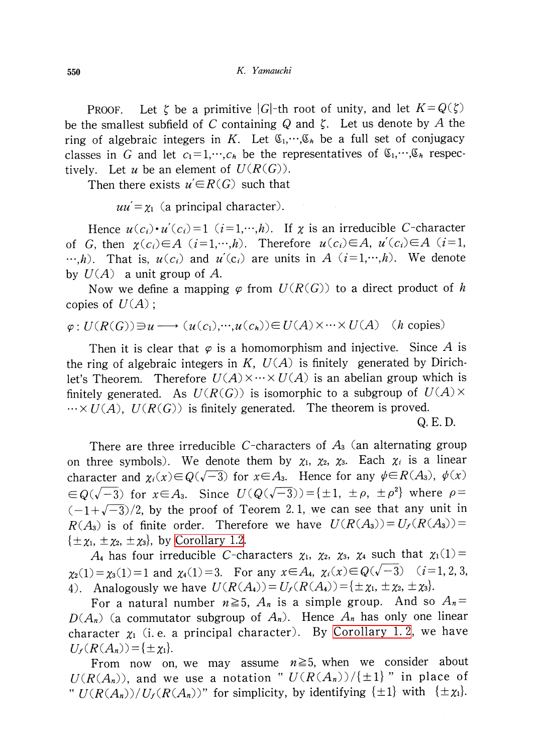PROOF. Let  $\zeta$  be a primitive  $|G|$ -th root of unity, and let  $K=Q(\zeta)$ be the smallest subfield of C containing Q and  $\zeta$ . Let us denote by A the ring of algebraic integers in K. Let  $\mathfrak{C}_{1},\dots,\mathfrak{C}_{h}$  be a full set of conjugacy classes in G and let  $c_{1}=1,\cdots,c_{h}$  be the representatives of  $\mathfrak{C}_{1},\cdots,\mathfrak{C}_{h}$  respectively. Let u be an element of  $U(R(G))$ .

Then there exists  $u' \in R(G)$  such that

 $uu'=\chi_{1}$  (a principal character).

Hence  $u(c_{i})\cdot u'(c_{i})=1$   $(i=1,\dots,h)$ . If  $\chi$  is an irreducible C-character of G, then  $\chi(c_{i})\in A$   $(i=1,\dots,h)$ . Therefore  $u(c_{i})\in A$ ,  $u'(c_{i})\in A$   $(i=1 ,$  $\ldots, h$ ). That is,  $u(c_{i})$  and  $u'(c_{i})$  are units in A  $(i=1,\ldots,h)$ . We denote by  $U(A)$  a unit group of A.

Now we define a mapping  $\varphi$  from  $U(R(G))$  to a direct product of h copies of  $U(A)$ ;

$$
\varphi: U(R(G)) \ni u \longrightarrow (u(c_1), \cdots, u(c_h)) \in U(A) \times \cdots \times U(A) \quad (h \text{ copies})
$$

Then it is clear that  $\varphi$  is a homomorphism and injective. Since A is the ring of algebraic integers in  $K$ ,  $U(A)$  is finitely generated by Dirichlet's Theorem. Therefore  $U(A)\times\cdots\times U(A)$  is an abelian group which is finitely generated. As  $U(R(G))$  is isomorphic to a subgroup of  $U(A)\times$  $\cdots \times U(A)$ ,  $U(R(G))$  is finitely generated. The theorem is proved.

Q. E. D.

There are three irreducible C-characters of  $A_{3}$  (an alternating group on three symbols). We denote them by  $\chi_{1}$ ,  $\chi_{2}$ ,  $\chi_{3}$ . Each  $\chi_{i}$  is a linear character and  $\chi_{i}(x)\in Q(\sqrt{-3})$  for  $x\in A_{3}$ . Hence for any  $\psi\in R(A_{3})$ ,  $\psi(x)$  $\in Q(\sqrt{-3})$  for  $x\in A_{3}$ . Since  $U(Q(\sqrt{-3}))=\{\pm 1, \pm \rho, \pm \rho^{2}\}$  where  $\rho=$  $(-1+\sqrt{-3})/2$ , by the proof of Teorem 2. 1, we can see that any unit in  $R(A_{3})$  is of finite order. Therefore we have  $U(R(A_{3}))=U_{f}(R(A_{3}))=$  $\{\pm\chi_{1}, \pm\chi_{2}, \pm\chi_{3}\}, \text{ by Corollary 1.2.}$  $\{\pm\chi_{1}, \pm\chi_{2}, \pm\chi_{3}\}, \text{ by Corollary 1.2.}$  $\{\pm\chi_{1}, \pm\chi_{2}, \pm\chi_{3}\}, \text{ by Corollary 1.2.}$ 

 $A_{4}$  has four irreducible C-characters  $\chi_{1}$ ,  $\chi_{2}$ ,  $\chi_{3}$ ,  $\chi_{4}$  such that  $\chi_{1}(1)=$  $\chi_{2}(1)=\chi_{3}(1)=1$  and  $\chi_{4}(1)=3$ . For any  $x\in A_{4}$ ,  $\chi_{i}(x)\in Q(\sqrt{-3})$  (i=1,2,3, 4). Analogously we have  $U(R(A_{4})) = U_{f}(R(A_{4})) = \{\pm\chi_{1}, \pm\chi_{2}, \pm\chi_{3}\}.$ 

For a natural number  $n \geq 5$ ,  $A_{n}$  is a simple group. And so  $A_{n}=$  $D(A_{n})$  (a commutator subgroup of  $A_{n}$ ). Hence  $A_{n}$  has only one linear character  $\chi_{1}$  (i.e. a principal character). By [Corollary](#page-0-0) 1.2, we have  $U_{f}(R(A_{n}))=\{\pm\chi_{1}\}.$ 

From now on, we may assume  $n \geq 5$ , when we consider about  $U(R(A_{n}))$ , and we use a notation "  $U(R(A_{n}))/{\{\pm 1\}}$  " in place of "  $U(R(A_{n}))/U_{f}(R(A_{n}))$ " for simplicity, by identifying  $\{\pm 1\}$  with  $\{\pm \chi_{1}\}$ .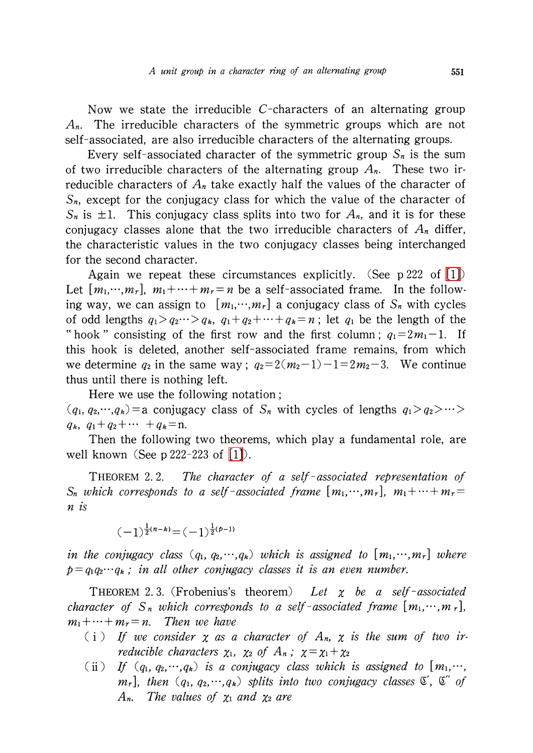Now we state the irreducible C-characters of an alternating group  $A_{n}$ . The irreducible characters of the symmetric groups which are not self-associated, are also irreducible characters of the alternating groups.

Every self-associated character of the symmetric group  $S_{n}$  is the sum of two irreducible characters of the alternating group  $A_{n}$ . These two irreducible characters of  $A_{n}$  take exactly half the values of the character of  $S_{n}$ , except for the conjugacy class for which the value of the character of  $S_{n}$  is  $\pm 1$ . This conjugacy class splits into two for  $A_{n}$ , and it is for these conjugacy classes alone that the two irreducible characters of  $A_{n}$  differ, the characteristic values in the two conjugacy classes being interchanged for the second character.

Again we repeat these circumstances explicitly. (See p222 of  $[1]$ ) Let  $[m_{1},\cdots,m_{r}],$   $m_{1}+\cdots+m_{r}=n$  be a self-associated frame. In the following way, we can assign to  $[m_{1},\cdots,m_{r}]$  a conjugacy class of  $S_{n}$  with cycles of odd lengths  $q_{1}>q_{2}\cdots>q_{k}$ ,  $q_{1}+q_{2}+\cdots+q_{k}=n$ ; let  $q_{1}$  be the length of the "hook" consisting of the first row and the first column;  $q_{1}=2m_{1}-1$ . If this hook is deleted, another self-associated frame remains, from which we determine  $q_{2}$  in the same way;  $q_{2}=2(m_{2}-1)-1=2m_{2}-3$ . We continue thus until there is nothing left.

Here we use the following notation:  $(q_{1}, q_{2}, \dots, q_{k})=$ a conjugacy class of S<sub>n</sub> with cycles of lengths  $q_{1}>q_{2}>\cdots>$  $q_{k}$ ,  $q_{1}+q_{2}+\cdots+q_{k}=n$ .

Then the following two theorems, which play a fundamental role, are well known (See p 222-223 of [\[1\]\)](#page-8-0).

THEOREM 2. 2. The character of a self-associated representation of  $S_{n}$  which corresponds to a self-associated frame  $[m_{1},\cdots,m_{r}]$ ,  $m_{1}+\cdots+m_{r}=$ n is

$$
(-1)^{\frac{1}{2}(n-k)}=(-1)^{\frac{1}{2}(p-1)}
$$

in the conjugacy class  $(q_{1}, q_{2}, \cdots, q_{k})$  which is assigned to  $[m_{1}, \cdots, m_{r}]$  where  $p=q_{1}q_{2}\cdots q_{k}$ ; in all other conjugacy classes it is an even number.

THEOREM 2.3. (Frobenius's theorem) Let  $\chi$  be a self-associated character of  $S_{n}$  which corresponds to a self-associated frame  $[m_{1}, \cdots, m_{r}]$ ,  $m_{1}+\cdots+m_{r}=n$ . Then we have

- (i) If we consider  $\chi$  as a character of  $A_{n}$ ,  $\chi$  is the sum of two irreducible characters  $\chi_{1}$ ,  $\chi_{2}$  of  $A_{n}$ ;  $\chi=\chi_{1}+\chi_{2}$
- (ii) If  $(q_{1}, q_{2}, \dots, q_{k})$  is a conjugacy class which is assigned to  $[m_{1},\dots,$  $m_{r}$ ], then  $(q_{1}, q_{2}, \cdots, q_{k})$  splits into two conjugacy classes  $\mathfrak{C}'$ ,  $\mathfrak{C}^{r}$  of  $A_{n}$ . The values of  $\chi_{1}$  and  $\chi_{2}$  are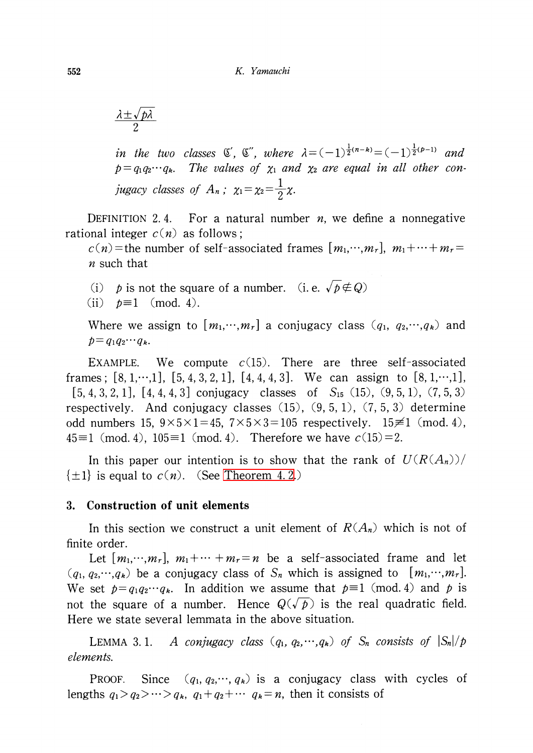$$
\frac{\lambda \pm \sqrt{p\lambda}}{2}
$$

in the two classes  $\mathfrak{C}'$ ,  $\mathfrak{C}''$ , where  $\lambda=(-1)^{\frac{1}{2}(n-k)}=(-1)^{\frac{1}{2}(p-1)}$  and  $p = q_1 q_2 \cdots q_{k}$ . The values of  $\chi_{1}$  and  $\chi_{2}$  are equal in all other conjugacy classes of  $A_{n}$ ;  $\chi_{1}=\chi_{2}=\frac{1}{2}\chi$ .

<span id="page-3-1"></span>DEFINITION 2.4. For a natural number  $n$ , we define a nonnegative rational integer  $c(n)$  as follows;

 $c(n)$  = the number of self-associated frames  $[m_{1},\cdots,m_{r}]$ ,  $m_{1}+\cdots+m_{r}=$  $n$  such that

(i) p is not the square of a number. (i.e.  $\sqrt{p}\notin Q$ )

(ii)  $p \equiv 1 \pmod{4}$ .

Where we assign to  $[m_{1},\dots,m_{r}]$  a conjugacy class  $(q_{1}, q_{2},\dots,q_{k})$  and  $p=q_{1}q_{2}\cdots q_{k}$ .

EXAMPLE. We compute  $c(15)$ . There are three self-associated frames;  $[8, 1,\dots,1]$ ,  $[5, 4, 3, 2, 1]$ ,  $[4, 4, 4, 3]$ . We can assign to  $[8, 1,\dots,1]$ ,  $[5, 4, 3, 2, 1]$ ,  $[4, 4, 4, 3]$  conjugacy classes of  $S_{15}$  (15), (9, 5, 1), (7, 5, 3) respectively. And conjugacy classes  $(15)$ ,  $(9, 5, 1)$ ,  $(7, 5, 3)$  determine odd numbers 15,  $9\times 5\times 1=45$ ,  $7\times 5\times 3=105$  respectively. 15 $\neq$ 1 (mod. 4), 45 $\equiv$ 1 (mod. 4), 105 $\equiv$ 1 (mod. 4). Therefore we have  $c(15)=2$ .

In this paper our intention is to show that the rank of  $U(R(A_{n}))/$  $\{\pm 1\}$  is equal to  $c(n)$ . (See [Theorem](#page-7-0) 4. 2.)

### 3. Construction of unit elements

In this section we construct a unit element of  $R(A_{n})$  which is not of finite order.

Let  $[m_{1},\cdots,m_{r}], \; m_{1}+\cdots+m_{r}=n$  be a self-associated frame and let  $(q_{1}, q_{2}, \dots, q_{k})$  be a conjugacy class of  $S_{n}$  which is assigned to  $[m_{1}, \dots, m_{r}].$ We set  $p=q_{1}q_{2}\cdots q_{k}$ . In addition we assume that  $p\equiv 1 \pmod{4}$  and p is not the square of a number. Hence  $Q(\sqrt{p})$  is the real quadratic field. Here we state several lemmata in the above situation.

<span id="page-3-0"></span>LEMMA 3.1. A conjugacy class  $(q_{1}, q_{2},\dots,q_{k})$  of  $S_{n}$  consists of  $|S_{n}|/p$ elements.

PROOF. Since  $(q_{1}, q_{2},\dots, q_{k})$  is a conjugacy class with cycles of lengths  $q_{1}>q_{2}>\cdots>q_{k}$ ,  $q_{1}+q_{2}+\cdots$   $q_{k}=n$ , then it consists of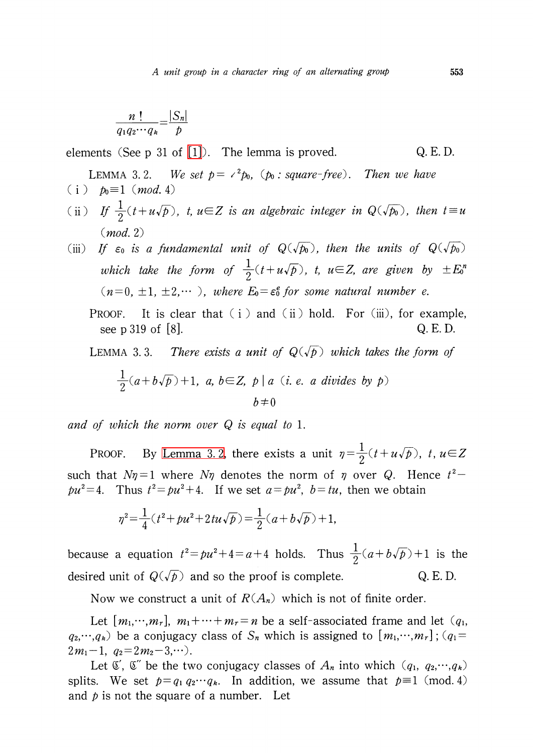$$
\frac{n!}{q_1q_2\cdots q_k} = \frac{|S_n|}{p}
$$

elements (See p 31 of  $[1]$ ). The lemma is proved.  $Q.E.D.$ 

<span id="page-4-0"></span>LEMMA 3.2. We set  $p = \langle^{2}p_0, (p_0 : square-free)$ . Then we have (i)  $p_0 \equiv 1 \pmod{4}$ 

(ii) If  $\frac{1}{2}(t+u\sqrt{p})$ , t,  $u\in Z$  is an algebraic integer in  $Q(\sqrt{p_{0}})$ , then  $t\equiv u$ (mod. 2)

(iii) If  $\varepsilon_{0}$  is a fundamental unit of  $Q(\sqrt{p_{0}})$ , then the units of  $Q(\sqrt{p_{0}})$ which take the form of  $\frac{1}{2}(t+u\sqrt{p})$ , t,  $u\in Z$ , are given by  $\pm E^{n}$  $(n=0, \pm 1, \pm 2,\cdots )$ , where  $E_0=\varepsilon_{0}^{e}$  for some natural number e.

PROOF. It is clear that  $(i)$  and  $(ii)$  hold. For  $(iii)$ , for example, see p 319 of [8].  $Q. E. D.$ 

<span id="page-4-1"></span>LEMMA 3.3. There exists a unit of  $Q(\sqrt{p})$  which takes the form of

$$
\frac{1}{2}(a+b\sqrt{p})+1, a, b\in Z, p \mid a \ (i.e. a divides by p)
$$

$$
b \neq 0
$$

and of which the norm over  $Q$  is equal to 1.

PROOF. By [Lemma](#page-4-0) 3.2, there exists a unit  $\eta = \frac{1}{2}(t+u\sqrt{p})$ , t,  $u \in Z$ such that  $N\eta=1$  where  $N\eta$  denotes the norm of  $\eta$  over Q. Hence  $t^{2}$  $pu^{2}=4$ . Thus  $t^{2}=pu^{2}+4$ . If we set  $a=pu^{2}$ ,  $b=tu$ , then we obtain

$$
\eta^2 = \frac{1}{4}(t^2 + pu^2 + 2tu\sqrt{p}) = \frac{1}{2}(a + b\sqrt{p}) + 1,
$$

because a equation  $t^{2}=pu^{2}+4=a+4$  holds. Thus  $\frac{1}{2}(a+b\sqrt{p})+1$  is the desired unit of  $Q(\sqrt{p})$  and so the proof is complete. Q. E. D.

Now we construct a unit of  $R(A_{n})$  which is not of finite order.

Let  $[m_{1},\cdots,m_{r}],\,\,m_{1}+\cdots+m_{r}\!=n$  be a self-associated frame and let  $(q_{1},$  $q_{2},\dots,q_{k}$ ) be a conjugacy class of  $S_{n}$  which is assigned to  $[m_{1},\dots,m_{r}](q_{1}=1)$  $2m_{1}-1$ ,  $q_{2}=2m_{2}-3,\cdots$  .

Let  $\mathfrak{C}'$ ,  $\mathfrak{C}^{r}$  be the two conjugacy classes of  $A_{n}$  into which  $(q_{1}, q_{2},\cdots,q_{k})$ splits. We set  $p=q_{1}q_{2}\cdots q_{k}$ . In addition, we assume that  $p\equiv 1 \pmod{4}$ and  $p$  is not the square of a number. Let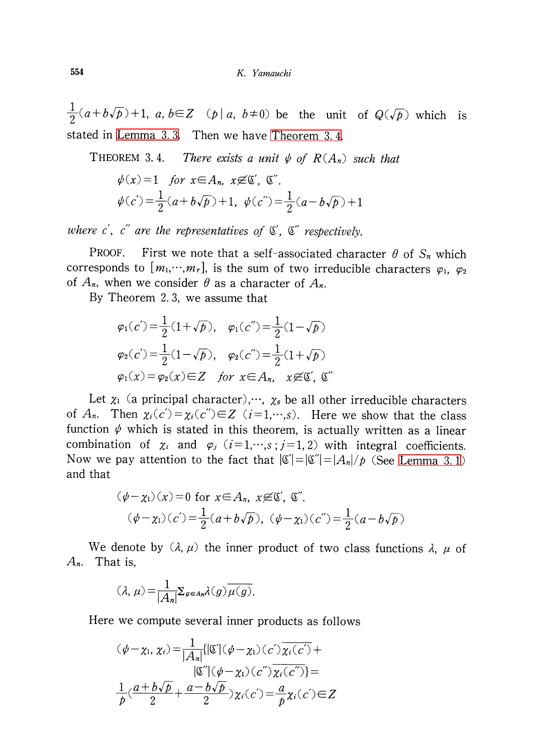$\frac{1}{2}(a+b\sqrt{p})+1$ , a,  $b\in Z$  (p|a,  $b\neq 0$ ) be the unit of  $Q(\sqrt{p})$  which is stated in [Lemma](#page-4-1) 3. 3. Then we have [Theorem](#page-5-0) 3. 4.

<span id="page-5-0"></span>THEOREM 3.4. There exists a unit  $\psi$  of  $R(A_{n})$  such that

$$
\psi(x) = 1 \quad \text{for } x \in A_n, \ x \not\in \mathbb{C}', \ \mathbb{C}''.
$$

$$
\psi(c') = \frac{1}{2}(a + b\sqrt{p}) + 1, \ \psi(c'') = \frac{1}{2}(a - b\sqrt{p}) + 1
$$

where c', c" are the representatives of  $\mathfrak{C}', \ \mathfrak{C}''$  respectively.

PROOF. First we note that a self-associated character  $\theta$  of  $S_{n}$  which corresponds to  $[m_{1},\cdots,m_{r}]$ , is the sum of two irreducible characters  $\varphi_{1}, \varphi_{2}$ of  $A_{n}$ , when we consider  $\theta$  as a character of  $A_{n}$ .

By Theorem 2. 3, we assume that

$$
\varphi_1(c') = \frac{1}{2}(1+\sqrt{p}), \quad \varphi_1(c'') = \frac{1}{2}(1-\sqrt{p})
$$

$$
\varphi_2(c') = \frac{1}{2}(1-\sqrt{p}), \quad \varphi_2(c'') = \frac{1}{2}(1+\sqrt{p})
$$

$$
\varphi_1(x) = \varphi_2(x) \in Z \quad \text{for } x \in A_n, \quad x \not\in \mathfrak{C}', \mathfrak{C}''
$$

Let  $\chi_{1}$  (a principal character),…,  $\chi_{s}$  be all other irreducible characters of  $A_{n}$ . Then  $\chi_{i}(c') = \chi_{i}(c'') \in Z$  ( $i=1,\dots,s$ ). Here we show that the class function  $\psi$  which is stated in this theorem, is actually written as a linear combination of  $\chi_{i}$  and  $\varphi_{j}$  ( $i=1,\dots,s; j=1,2$ ) with integral coefficients. Now we pay attention to the fact that  $|\mathfrak{C}'|=|\mathfrak{C}'|=|A_{n}|/p$  (See [Lemma](#page-3-0) 3.1) and that

$$
(\psi - \chi_1)(x) = 0 \text{ for } x \in A_n, x \not\in \mathbb{C}', \mathbb{C}''.
$$
  

$$
(\psi - \chi_1)(c') = \frac{1}{2}(a + b\sqrt{p}), (\psi - \chi_1)(c'') = \frac{1}{2}(a - b\sqrt{p})
$$

We denote by  $(\lambda, \mu)$  the inner product of two class functions  $\lambda$ ,  $\mu$  of  $A_{n}$ . That is,

$$
(\lambda, \mu) = \frac{1}{|A_n|} \sum_{g \in A_n} \lambda(g) \overline{\mu(g)}.
$$

Here we compute several inner products as follows

$$
(\psi - \chi_1, \chi_i) = \frac{1}{|A_n|} \{ |\mathfrak{C}'| (\psi - \chi_1)(c') \overline{\chi_i(c')} +
$$
  

$$
|\mathfrak{C}''| (\psi - \chi_1)(c'') \overline{\chi_i(c'')} =
$$
  

$$
\frac{1}{p} (\frac{a + b\sqrt{p}}{2} + \frac{a - b\sqrt{p}}{2}) \chi_i(c') = \frac{a}{p} \chi_i(c') \in Z
$$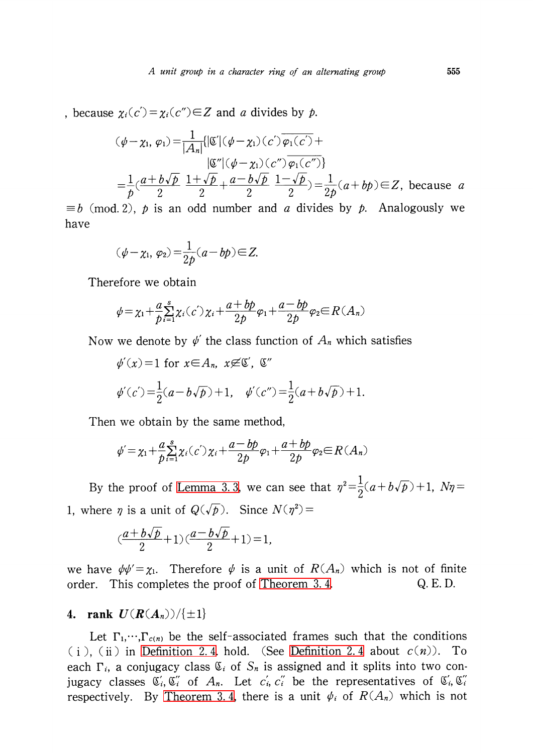because  $\chi_{i}(c')=\chi_{i}(c'')\in Z$  and a divides by p.

$$
(\psi - \chi_1, \varphi_1) = \frac{1}{|A_n|} \{ |\mathfrak{C}'| (\psi - \chi_1)(c') \overline{\varphi_1(c')} +
$$
  

$$
|\mathfrak{C}''| (\psi - \chi_1)(c'') \overline{\varphi_1(c'')} \}
$$
  

$$
= \frac{1}{p} (\frac{a + b\sqrt{p}}{2} \frac{1 + \sqrt{p}}{2} + \frac{a - b\sqrt{p}}{2} \frac{1 - \sqrt{p}}{2}) = \frac{1}{2p} (a + bp) \in Z, \text{ because } a
$$

 $\equiv b \pmod{2}$ , p is an odd number and a divides by p. Analogously we have

$$
(\psi - \chi_1, \varphi_2) = \frac{1}{2p}(a - bp) \in Z.
$$

Therefore we obtain

$$
\psi = \chi_1 + \frac{a}{p} \sum_{i=1}^{s} \chi_i(c') \chi_i + \frac{a + b p}{2p} \varphi_1 + \frac{a - b p}{2p} \varphi_2 \in R(A_n)
$$

Now we denote by  $\psi'$  the class function of  $A_{n}$  which satisfies

$$
\phi'(x) = 1
$$
 for  $x \in A_n$ ,  $x \not\in \mathbb{C}'$ ,  $\mathbb{C}''$   
 $\phi'(c') = \frac{1}{2}(a - b\sqrt{p}) + 1$ ,  $\phi'(c'') = \frac{1}{2}(a + b\sqrt{p}) + 1$ 

Then we obtain by the same method,

$$
\psi' = \chi_1 + \frac{a}{p} \sum_{i=1}^{s} \chi_i(c') \chi_i + \frac{a - b p}{2p} \varphi_1 + \frac{a + b p}{2p} \varphi_2 \in R(A_n)
$$

By the proof of [Lemma](#page-4-1) 3.3, we can see that  $\eta^{2}=\frac{1}{2}(a+b\sqrt{p})+1$ ,  $N\eta=$ 1, where  $\eta$  is a unit of  $Q(\sqrt{p})$ . Since  $N(\eta^{2})=$ 

.

$$
\left(\frac{a+b\sqrt{p}}{2}+1\right)\left(\frac{a-b\sqrt{p}}{2}+1\right)=1,
$$

we have  $\psi\psi'=\chi_{1}$ . Therefore  $\psi$  is a unit of  $R(A_{n})$  which is not of finite order. This completes the proof of [Theorem](#page-5-0) 3.4. Q. E. D.

## 4. rank  $U(R(A_{n}))/{\{\pm 1\}}$

Let  $\Gamma_{1},\cdots,\Gamma_{c(n)}$  be the self-associated frames such that the conditions (i), (ii) in [Definition](#page-3-1) 2.4. hold. (See Definition 2.4 about  $c(n)$ ). To each  $\Gamma_{i}$ , a conjugacy class  $\mathfrak{C}_{i}$  of  $S_{n}$  is assigned and it splits into two conjugacy classes  $\mathfrak{C}_{i}$ ,  $\mathfrak{C}_{i}'$  of  $A_{n}$ . Let  $c_{i}$ ,  $c_{i}'$  be the representatives of  $\mathfrak{C}_{i}$ ,  $\mathfrak{C}_{i}''$ respectively. By [Theorem](#page-5-0) 3.4, there is a unit  $\psi_{i}$  of  $R(A_{n})$  which is not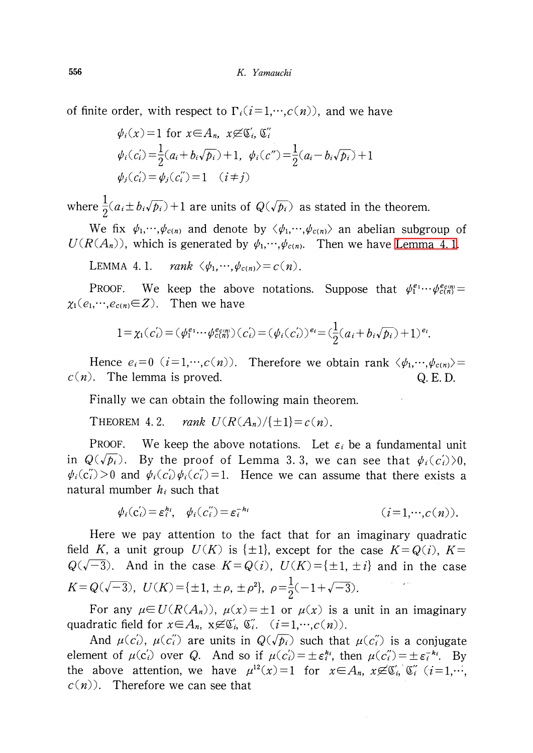of finite order, with respect to  $\Gamma_{i}(i=1,\dots,c(n))$ , and we have

$$
\psi_i(x) = 1 \text{ for } x \in A_n, \ x \not\in \mathfrak{C}'_i, \ \mathfrak{C}''_i
$$
  

$$
\psi_i(c_i) = \frac{1}{2}(a_i + b_i\sqrt{p_i}) + 1, \ \psi_i(c'') = \frac{1}{2}(a_i - b_i\sqrt{p_i}) + 1
$$
  

$$
\psi_j(c_i') = \psi_j(c_i'') = 1 \quad (i \neq j)
$$

where  $\frac{1}{2}(a_{i}\pm b_{i}\sqrt{p_{i}})+1$  are units of  $Q(\sqrt{p_{i}})$  as stated in the theorem.

We fix  $\psi_{1},\dots,\psi_{c(n)}$  and denote by  $\langle\psi_{1},\dots,\psi_{c(n)}\rangle$  an abelian subgroup of  $U(R(A_{n}))$ , which is generated by  $\psi_{1},\cdots,\psi_{c(n)}.$  Then we have [Lemma](#page-7-1) 4.1.

<span id="page-7-1"></span>LEMMA 4.1.  $rank \langle\phi_{1},\cdots,\phi_{c(n)}\rangle=c(n)$ .

PROOF. We keep the above notations. Suppose that  $\psi_{1}^{e_{1}}\cdots\psi_{c(n)}^{e_{c(n)}}=$  $\chi_{1}(e_{1},\cdots,e_{c(n)}{\in}Z)$ . Then we have

$$
1 = \chi_1(c_i) = (\psi_1^{e_1} \cdots \psi_{c(n)}^{e_{c(n)}})(c_i) = (\psi_i(c_i))^{e_i} = (\frac{1}{2}(a_i + b_i\sqrt{p_i}) + 1)^{e_i}.
$$

Hence  $e_{i}=0$   $(i=1,\dots,c(n))$ . Therefore we obtain rank  $\langle\phi_{1},\cdots,\phi_{c(n)}\rangle=$  $c(n)$ . The lemma is proved. Q. E. D.

Finally we can obtain the following main theorem.

<span id="page-7-0"></span>THEOREM 4.2. rank  $U(R(A_{n})/\{\pm 1\} = c(n)$ .

PROOF. We keep the above notations. Let  $\varepsilon_{i}$  be a fundamental unit in  $Q(\sqrt{\overline{\rho_{i}}})$ . By the proof of Lemma 3.3, we can see that  $\phi_{i}(c_{i}')\rangle 0$ ,  $\psi_{i}(c_{i}^{r})>0$  and  $\psi_{i}(c_{i}^{r})\psi_{i}(c_{i}^{r})=1$ . Hence we can assume that there exists a natural mumber  $h_{i}$  such that

$$
\psi_i(\mathbf{c}'_i) = \varepsilon_i^{h_i}, \quad \psi_i(\mathbf{c}''_i) = \varepsilon_i^{-h_i} \qquad (i = 1, \cdots, c(n)).
$$

Here we pay attention to the fact that for an imaginary quadratic field K, a unit group  $U(K)$  is  $\{\pm 1\}$ , except for the case  $K=Q(i)$ ,  $K=$  $Q(\sqrt{-3})$ . And in the case  $K=Q(i)$ ,  $U(K)=\{\pm 1, \pm i\}$  and in the case  $K=Q(\sqrt{-3}) , \; U(K)=\{\pm 1, \pm\rho, \pm\rho^{2}\}, \; \rho=\frac{1}{2}(-1+\sqrt{-3}).$ 

For any  $\mu\in U(R(A_{n}))$ ,  $\mu(x)=\pm 1$  or  $\mu(x)$  is a unit in an imaginary quadratic field for  $x \in A_{n}$ ,  $x \not\in \mathfrak{C}_{i}^{'}$ ,  $\mathfrak{C}_{i}^{''}$ .  $(i=1,\cdots,c(n))$ .

And  $\mu(c_{i})$ ,  $\mu(c_{i}')$  are units in  $Q(\sqrt{p_{i}})$  such that  $\mu(c_{i}')$  is a conjugate element of  $\mu(c_{i}')$  over Q. And so if  $\mu(c_{i}')=\pm\epsilon_{i}^{k_{i}}$ , then  $\mu(c_{i}')=\pm\epsilon_{i}^{-k_{i}}$ . By the above attention, we have  $\mu^{12}(x)=1$  for  $x \in A_{n}$ ,  $x \not\in \mathfrak{C}_{i}$ ,  $\mathfrak{C}_{i}'$   $(i=1,\cdots, n)$  $c(n)$ . Therefore we can see that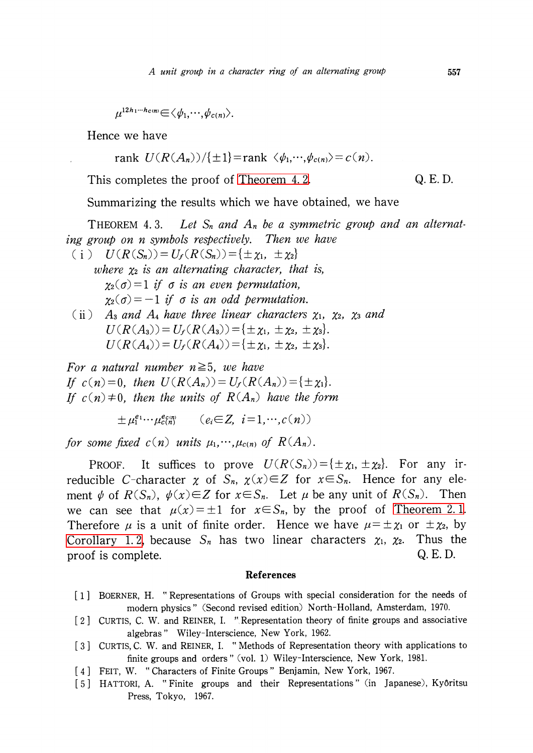$\mu^{12h_{1}\cdots h_{C(n)}} \in \langle\phi_{1},\cdots,\phi_{c(n)}\rangle.$ 

Hence we have

rank  $U(R(A_{n}))/{\{\pm 1\}}$ =rank  $\langle\phi_{1},\cdots,\phi_{c(n)}\rangle=c(n)$ .

This completes the proof of [Theorem](#page-7-0) 4.2. Q. E.D.

Summarizing the results which we have obtained, we have

THEOREM 4.3. Let  $S_{n}$  and  $A_{n}$  be a symmetric group and an alternating group on n symbols respectively. Then we have

- (i)  $U(R(S_{n}))=U_{f}(R(S_{n}))=\{\pm\chi_{1}, \pm\chi_{2}\}$ where  $\chi_{2}$  is an alternating character, that is,  $\chi_{2}(\sigma)=1$  if  $\sigma$  is an even permutation,  $\chi_{2}(\sigma)=-1$  if  $\sigma$  is an odd permutation.
- (ii)  $A_{3}$  and  $A_{4}$  have three linear characters  $\chi_{1}$ ,  $\chi_{2}$ ,  $\chi_{3}$  and  $U(R(A_{3}))=U_{f}(R(A_{3}))=\{\pm\chi_{1}, \pm\chi_{2}, \pm\chi_{3}\}.$  $U(R(A_{4}))=U_{f}(R(A_{4}))=\{\pm\chi_{1}, \pm\chi_{2}, \pm\chi_{3}\}.$

For a natural number  $n \geq 5$ , we have If  $c(n)=0$ , then  $U(R(A_{n}))=U_{f}(R(A_{n}))=\{\pm\chi_{1}\}.$ If  $c(n)\neq 0$ , then the units of  $R(A_{n})$  have the form

 $\pm\mu_{1}^{e_{1}}\cdots\mu_{c(n)}^{e_{c(n)}}$   $(e_{i}\in Z, i=1,\cdots,c(n))$ 

for some fixed  $c(n)$  units  $\mu_{1},\dots,\mu_{c(n)}$  of  $R(A_{n})$ .

PROOF. It suffices to prove  $U(R(S_{n})) = \{\pm\chi_{1}, \pm\chi_{2}\}\.$  For any irreducible C-character  $\chi$  of  $S_{n}$ ,  $\chi(x)\in Z$  for  $x\in S_{n}$ . Hence for any element  $\psi$  of  $R(S_{n})$ ,  $\psi(x)\in Z$  for  $x\in S_{n}$ . Let  $\mu$  be any unit of  $R(S_{n})$ . Then we can see that  $\mu(x)=\pm 1$  for  $x\in S_{n}$ , by the proof of [Theorem](#page-0-1) 2. 1. Therefore  $\mu$  is a unit of finite order. Hence we have  $\mu=\pm\chi_{1}$  or  $\pm\chi_{2}$ , by [Corollary](#page-0-0) 1.2, because  $S_{n}$  has two linear characters  $\chi_{1}$ ,  $\chi_{2}$ . . Thus the proof is complete.  $Q. E. D.$ 

#### References

- <span id="page-8-0"></span>[1] BOERNER, H. " Representations of Groups with special consideration for the needs of modern physics " (Second revised edition) North-Holland, Amsterdam, 1970.
- [2] CURTIS, C. W. and REINER, I. " Representation theory of finite groups and associative algebras " Wiley-Interscience, New York, 1962.
- [3] CURTIS, C. W. and REINER, I. " Methods of Representation theory with applications to finite groups and orders" (vol. 1) Wiley-Interscience, New York, 1981.
- [4] FEIT, W. " Characters of Finite Groups " Benjamin, New York, 1967.
- [5] HATTORI, A. "Finite groups and their Representations" (in Japanese), Kyôritsu Press, Tokyo, 1967.